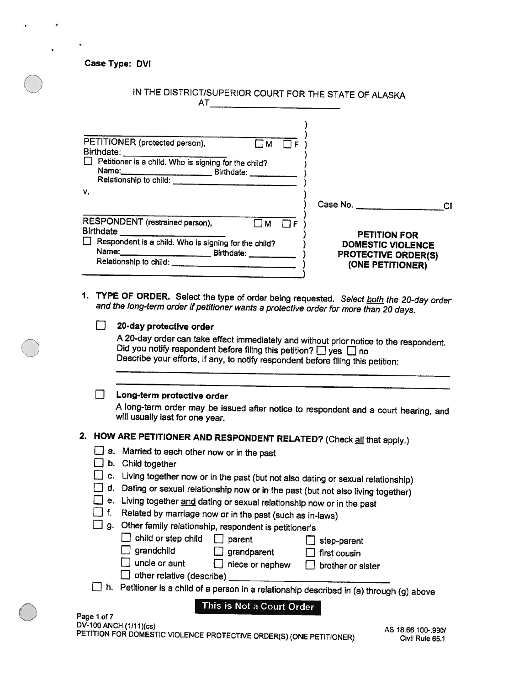| <b>Case Type: DVI</b>                                                                                                                                                                                                                                                                                                           |                      |                                                                                                   |
|---------------------------------------------------------------------------------------------------------------------------------------------------------------------------------------------------------------------------------------------------------------------------------------------------------------------------------|----------------------|---------------------------------------------------------------------------------------------------|
|                                                                                                                                                                                                                                                                                                                                 |                      | IN THE DISTRICT/SUPERIOR COURT FOR THE STATE OF ALASKA                                            |
| PETITIONER (protected person),<br>Birthdate:<br>Petitioner is a child. Who is signing for the child?<br>Relationship to child:<br>۷.                                                                                                                                                                                            | $\overline{\Box M}$  |                                                                                                   |
|                                                                                                                                                                                                                                                                                                                                 |                      | Case No.<br><b>CI</b>                                                                             |
| RESPONDENT (restrained person),<br>Birthdate<br>Respondent is a child. Who is signing for the child?<br>Relationship to child: ____<br>1. TYPE OF ORDER. Select the type of order being requested. Select <b>both</b> the 20-day order<br>and the long-term order if petitioner wants a protective order for more than 20 days. | $\Box$ M<br>$\Box F$ | <b>PETITION FOR</b><br><b>DOMESTIC VIOLENCE</b><br><b>PROTECTIVE ORDER(S)</b><br>(ONE PETITIONER) |
| 20-day protective order                                                                                                                                                                                                                                                                                                         |                      |                                                                                                   |
| Did you notify respondent before filing this petition? D yes D no<br>Describe your efforts, if any, to notify respondent before filing this petition:                                                                                                                                                                           |                      | A 20-day order can take effect immediately and without prior notice to the respondent.            |
| Long-term protective order<br>will usually last for one year.                                                                                                                                                                                                                                                                   |                      | A long-term order may be issued after notice to respondent and a court hearing, and               |
| 2.<br>HOW ARE PETITIONER AND RESPONDENT RELATED? (Check all that apply.)                                                                                                                                                                                                                                                        |                      |                                                                                                   |
| a.<br>Married to each other now or in the past<br>b.<br>Child together<br>C.<br>d.<br>Dating or sexual relationship now or in the past (but not also living together)<br>е.<br>Living together and dating or sexual relationship now or in the past<br>f.<br>Related by marriage now or in the past (such as in-laws)           |                      | Living together now or in the past (but not also dating or sexual relationship)                   |

- 
- $\Box$  g. Other family relationship, respondent is petitioner's

| $\Box$ child or step child $\Box$ parent |  |
|------------------------------------------|--|
|                                          |  |

 $\Box$  step-parent

- 
- $\Box$  grandchild  $\Box$  grandparent  $\Box$  first cousin  $\Box$  uncle or aunt  $\Box$  niece or nephew  $\Box$  brother or s
	-

 $\bigcirc$ 

- $\Box$  niece or nephew  $\Box$  brother or sister  $\Box$  other relative (describe) \_
- fl h. Petitioner is <sup>a</sup> child of <sup>a</sup> person in <sup>a</sup> relationship described in (a) through (g) above

This is Not <sup>a</sup> Court Order

| Page 1 of 7                                                         |                    |
|---------------------------------------------------------------------|--------------------|
| DV-100 ANCH (1/11)(cs)                                              | AS 18.66.100-.990/ |
| PETITION FOR DOMESTIC VIOLENCE PROTECTIVE ORDER(S) (ONE PETITIONER) | Civil Rule 65.1    |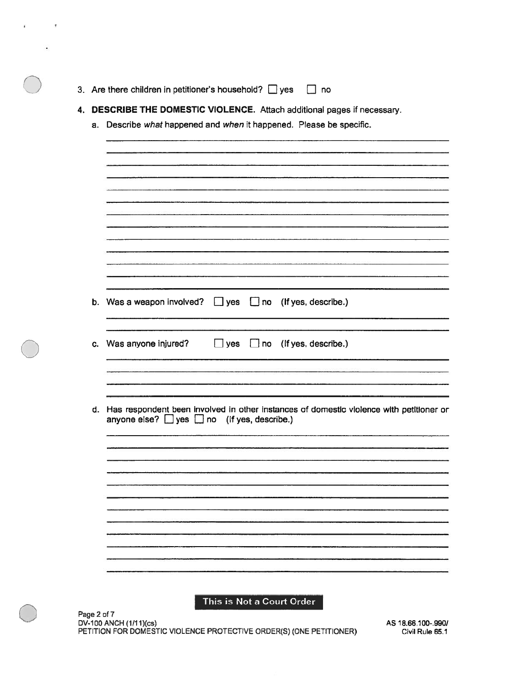- 3. Are there children in petitioner's household?  $\Box$  yes  $\Box$  no
- 4. DESCRIBE THE DOMESTIC VIOLENCE. Attach additional pages if necessary.
	- a. Describe what happened and when it happened. Please be specific.

|    | b. Was a weapon involved? | $\Box$ yes | $\Box$ no (If yes, describe.)                                                                                                                 |
|----|---------------------------|------------|-----------------------------------------------------------------------------------------------------------------------------------------------|
|    | c. Was anyone injured?    | $\Box$ yes | $\Box$ no (If yes, describe.)                                                                                                                 |
|    |                           |            |                                                                                                                                               |
| d. |                           |            | Has respondent been involved in other instances of domestic violence with petitioner or anyone else? $\Box$ yes $\Box$ no (if yes, describe.) |
|    |                           |            |                                                                                                                                               |
|    |                           |            |                                                                                                                                               |
|    |                           |            |                                                                                                                                               |
|    |                           |            |                                                                                                                                               |

Dy-I 00 ANCH (1111 )(cs) AS 18.66.100-990) PETITION FOR DOMESTIC VIOLENCE PROTECTIVE ORDER(S) (ONE PETITIONER) Civil Rule 65.1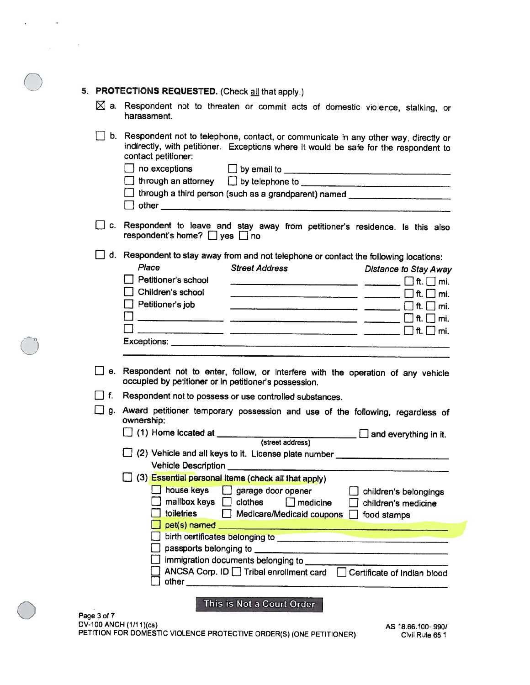#### 5. PROTECTIONS REQUESTED. (Check all that apply.)

 $\sim$ 

- $\boxtimes$  a. Respondent not to threaten or commit acts of domestic violence, stalking, or harassment.
- LI b. Respondent not to telephone, contact, or communicate In any other way. directly or indirectly, with petitioner. Exceptions where it would be safe for the respondent to contact petitioner:  $\Box$  no exceptions  $\Box$  by email to

| $\Box$ through an attorney $\Box$ by telephone to $\Box$ |                                                             |
|----------------------------------------------------------|-------------------------------------------------------------|
|                                                          | $\Box$ through a third person (such as a grandparent) named |
| $\vert \ \vert$ other                                    |                                                             |

 $\Box$  c. Respondent to leave and stay away from petitioner's residence. Is this also respondent's home?  $\Box$  yes  $\Box$  no

 $\Box$  d. Respondent to stay away from and not telephone or contact the following locations:<br>Place of the street Address **Platance to Stay A** 

|    | TECTIONS REQUESTED. (Check all that apply.)                                                                                                                                                                                         |
|----|-------------------------------------------------------------------------------------------------------------------------------------------------------------------------------------------------------------------------------------|
|    | Respondent not to threaten or commit acts of domestic violence, stalking, or<br>harassment.                                                                                                                                         |
| L. | Respondent not to telephone, contact, or communicate in any other way, directly or<br>indirectly, with petitioner. Exceptions where it would be safe for the respondent to<br>contact petitioner:                                   |
|    | no exceptions and by email to the contract of the contract of the contract of the contract of the contract of the contract of the contract of the contract of the contract of the contract of the contract of the contract of       |
|    | □ through an attorney □ by telephone to <u>weed and the contract of the set of the set of the set of the set of the set of the set of the set of the set of the set of the set of the set of the set of the set of the set of t</u> |
|    | through a third person (such as a grandparent) named __________________________                                                                                                                                                     |
|    |                                                                                                                                                                                                                                     |
|    | Respondent to leave and stay away from petitioner's residence. Is this also<br>respondent's home? $\Box$ yes $\Box$ no                                                                                                              |
|    | Respondent to stay away from and not telephone or contact the following locations:                                                                                                                                                  |
|    | Place<br><b>Street Address</b><br><b>Distance to Stay Away</b>                                                                                                                                                                      |
|    | Petitioner's school<br>$\vert \cdot \vert$ ft. $\vert \cdot \vert$ mi.                                                                                                                                                              |
|    | Children's school<br>ft. $\Box$ mi.                                                                                                                                                                                                 |
|    | $\Box$ Petitioner's job                                                                                                                                                                                                             |
|    | ft.     mi.                                                                                                                                                                                                                         |
|    |                                                                                                                                                                                                                                     |
|    |                                                                                                                                                                                                                                     |
|    |                                                                                                                                                                                                                                     |
|    | Respondent not to enter, follow, or interfere with the operation of any vehicle<br>occupied by petitioner or in petitioner's possession.                                                                                            |
|    | Respondent not to possess or use controlled substances.                                                                                                                                                                             |
|    | Award petitioner temporary possession and use of the following, regardless of<br>ownership:                                                                                                                                         |
|    | $\Box$ and everything in it.                                                                                                                                                                                                        |
|    |                                                                                                                                                                                                                                     |
|    | 2) Vehicle and all keys to it. License plate number ____________________________                                                                                                                                                    |
|    |                                                                                                                                                                                                                                     |
|    | (3) Essential personal items (check all that apply)<br>house keys                                                                                                                                                                   |
|    | garage door opener<br>children's belongings<br>mailbox keys<br>clothes<br>$\Box$ medicine<br>children's medicine                                                                                                                    |
|    | toiletries<br>Medicare/Medicaid coupons [<br>food stamps                                                                                                                                                                            |
|    |                                                                                                                                                                                                                                     |
|    | birth certificates belonging to                                                                                                                                                                                                     |

- LI e. Respondent not to enter, follow, or interfere with the operation of any vehicle occupied by petitioner or in petitioner's possession.
- LI f. Respondent not to possess or use controlled substances.
- LI g. Award petitioner temporary possession and use of the following, regardless of ownership: LI (1) Home located at

| $\Box$ (1) Home located at                                  |  | $\Box$ and everything in it. |
|-------------------------------------------------------------|--|------------------------------|
| (street address)                                            |  |                              |
| $\Box$ (2) Vehicle and all keys to it. License plate number |  |                              |
| <b>Vehicle Description</b>                                  |  |                              |

| house keys<br>mailbox keys<br>toiletries                         | garage door opener<br>clothes<br>$]$ medicine<br>Medicare/Medicaid coupons | children's belongings<br>$\Box$ children's medicine<br>food stamps |
|------------------------------------------------------------------|----------------------------------------------------------------------------|--------------------------------------------------------------------|
| $\Box$ pet(s) named                                              |                                                                            |                                                                    |
| birth certificates belonging to<br>$\Box$ passports belonging to |                                                                            |                                                                    |
|                                                                  | $\Box$ immigration documents belonging to                                  |                                                                    |
| other                                                            | ANCSA Corp. ID   Tribal enrollment card                                    | Certificate of Indian blood                                        |

This is Not <sup>a</sup> Court Order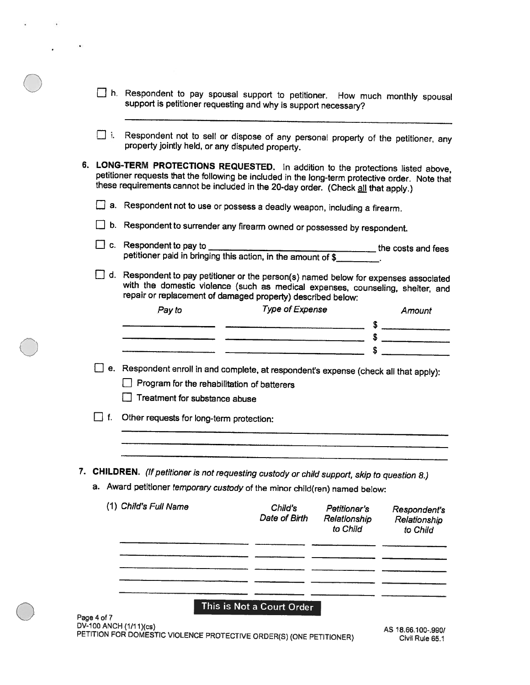| h. Respondent to pay spousal support to petitioner. How much monthly spousal |  |  |  |  |  |
|------------------------------------------------------------------------------|--|--|--|--|--|
| support is petitioner requesting and why is support necessary?               |  |  |  |  |  |

I. Respondent not to sell or dispose of any persona' property of the petitioner, any property jointly held, or any disputed property.

6. LONG-TERM PROTECTIONS REQUESTED. In addition to the protections listed above, petitioner requests that the following be included in the long-term protective order. Note that these requirements cannot be included in the 20-day order. (Check all that apply.)

a. Respondent not to use or possess <sup>a</sup> deadly weapon, including <sup>a</sup> firearm.

E b. Respondent to surrender any firearm owned or possessed by respondent.

- $\Box$  c. Respondent to pay to  $\Box$ the costs and fees petitioner paid in bringing this action, in the amount of \$
- fl d. Respondent to pay petitioner or the person(s) named below for expenses associated with the domestic violence (such as medical expenses, counseling, shelter, and repair or replacement of damaged property) described below:

| Pay to | <b>Type of Expense</b> | Amount |
|--------|------------------------|--------|
|        |                        |        |
|        |                        |        |
|        |                        |        |

- $\Box$  e. Respondent enroll in and complete, at respondent's expense (check all that apply):
	- $\Box$  Program for the rehabilitation of batterers
	- Treatment for substance abuse
- $\Box$  f. Other requests for long-term protection:
- 7. CHILDREN. (If petitioner is not requesting custody or child support, skip to question 8.)
	- a. Award petitioner temporary custody of the minor child(ren) named below:

| (1) Child's Full Name | Child's<br>Date of Birth  | Petitioner's<br>Relationship<br>to Child | Respondent's<br>Relationship<br>to Child |
|-----------------------|---------------------------|------------------------------------------|------------------------------------------|
|                       |                           |                                          |                                          |
|                       |                           |                                          |                                          |
|                       |                           |                                          |                                          |
| $m = 1.57$            | This is Not a Court Order |                                          |                                          |

Page 4of 7 DV-100 ANCH (1/11)(cs) PETITION FOR DOMESTIC VIOLENCE PROTECTIVE ORDER(S) (ONE PETITIONER) AS 1866100.990! Civil Rule 65.1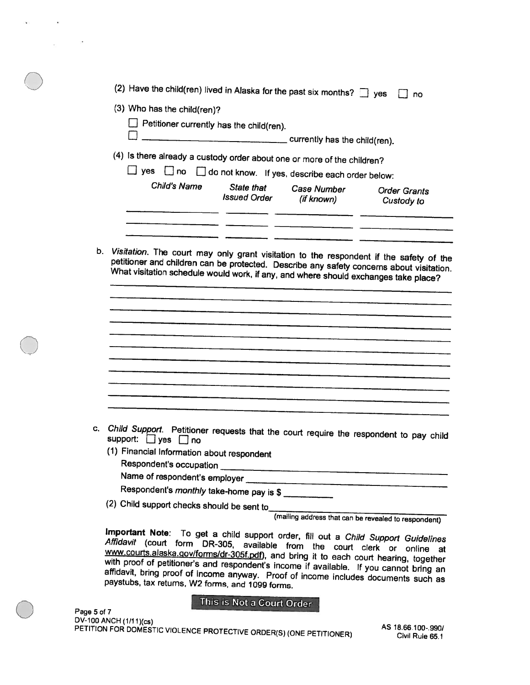|    | (2) Have the child(ren) lived in Alaska for the past six months? $\Box$ yes<br>no                                                                                                                                                                        |
|----|----------------------------------------------------------------------------------------------------------------------------------------------------------------------------------------------------------------------------------------------------------|
|    | (3) Who has the child(ren)?                                                                                                                                                                                                                              |
|    | $\Box$ Petitioner currently has the child(ren).                                                                                                                                                                                                          |
|    |                                                                                                                                                                                                                                                          |
|    | currently has the child(ren).                                                                                                                                                                                                                            |
|    | (4) Is there already a custody order about one or more of the children?                                                                                                                                                                                  |
|    | $\Box$ yes $\Box$ no $\Box$ do not know. If yes, describe each order below:                                                                                                                                                                              |
|    | Child's Name<br>State that<br>Case Number<br><b>Order Grants</b>                                                                                                                                                                                         |
|    | <b>Issued Order</b><br>(if known)<br>Custody to                                                                                                                                                                                                          |
|    |                                                                                                                                                                                                                                                          |
|    |                                                                                                                                                                                                                                                          |
|    |                                                                                                                                                                                                                                                          |
|    | petitioner and children can be protected. Describe any safety concerns about visitation.<br>What visitation schedule would work, if any, and where should exchanges take place?                                                                          |
|    |                                                                                                                                                                                                                                                          |
|    |                                                                                                                                                                                                                                                          |
|    |                                                                                                                                                                                                                                                          |
|    |                                                                                                                                                                                                                                                          |
|    |                                                                                                                                                                                                                                                          |
|    |                                                                                                                                                                                                                                                          |
|    |                                                                                                                                                                                                                                                          |
|    |                                                                                                                                                                                                                                                          |
|    |                                                                                                                                                                                                                                                          |
|    |                                                                                                                                                                                                                                                          |
|    |                                                                                                                                                                                                                                                          |
|    |                                                                                                                                                                                                                                                          |
| C. |                                                                                                                                                                                                                                                          |
|    | Child Support. Petitioner requests that the court require the respondent to pay child<br>support: □ yes □ no                                                                                                                                             |
|    |                                                                                                                                                                                                                                                          |
|    | (1) Financial Information about respondent<br>Respondent's occupation ______                                                                                                                                                                             |
|    |                                                                                                                                                                                                                                                          |
|    |                                                                                                                                                                                                                                                          |
|    | Respondent's monthly take-home pay is \$                                                                                                                                                                                                                 |
|    | (2) Child support checks should be sent to_______                                                                                                                                                                                                        |
|    | (mailing address that can be revealed to respondent)                                                                                                                                                                                                     |
|    |                                                                                                                                                                                                                                                          |
|    | Important Note: To get a child support order, fill out a Child Support Guidelines<br>Affidavit (court form DR-305, available from the court clerk or online at<br>www.courts.alaska.gov/forms/dr-305f.pdf), and bring it to each court hearing, together |
|    | with proof of petitioner's and respondent's income if available. If you cannot bring an                                                                                                                                                                  |
|    | affidavit, bring proof of income anyway. Proof of income includes documents such as<br>paystubs, tax returns, W2 forms, and 1099 forms.                                                                                                                  |

 $\frac{1}{2} \frac{1}{2} \frac{1}{2}$ 

 $\sim 100$ 

Page 5 of 7 DV-100 ANCH(1/1 1)(cs) PETITION FOR DOMESTIC AS 18.66.100-990/ VIOLENCE PROTECTIVE ORDER(S) (ONE PETITIONER) CiiI RLIe 65.1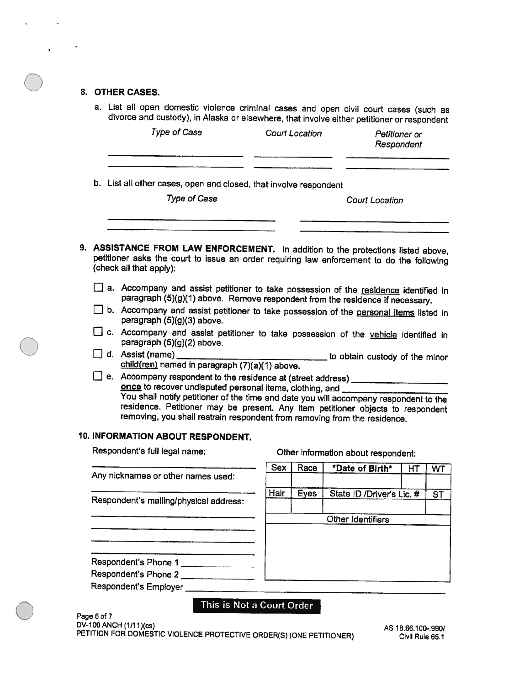#### 8. OTHER CASES.

a. List all open domestic violence criminal cases and open civil court cases (such as divorce and custody), in Alaska or elsewhere, that involve either petitioner or respondent

|                      | Type of Case                                                                                                                                                                                                                                                                                                                                                                                         |                                                                   | <b>Court Location</b> | Petitioner or<br>Respondent         |                                        |    |  |  |  |  |
|----------------------|------------------------------------------------------------------------------------------------------------------------------------------------------------------------------------------------------------------------------------------------------------------------------------------------------------------------------------------------------------------------------------------------------|-------------------------------------------------------------------|-----------------------|-------------------------------------|----------------------------------------|----|--|--|--|--|
|                      | <b>Type of Case</b>                                                                                                                                                                                                                                                                                                                                                                                  | b. List all other cases, open and closed, that involve respondent |                       |                                     |                                        |    |  |  |  |  |
|                      | 9. ASSISTANCE FROM LAW ENFORCEMENT. In addition to the protections listed above,                                                                                                                                                                                                                                                                                                                     |                                                                   |                       |                                     |                                        |    |  |  |  |  |
|                      | petitioner asks the court to issue an order requiring law enforcement to do the following<br>(check all that apply):                                                                                                                                                                                                                                                                                 |                                                                   |                       |                                     |                                        |    |  |  |  |  |
|                      | a. Accompany and assist petitioner to take possession of the residence identified in<br>paragraph (5)(g)(1) above. Remove respondent from the residence if necessary.                                                                                                                                                                                                                                |                                                                   |                       |                                     |                                        |    |  |  |  |  |
|                      | b. Accompany and assist petitioner to take possession of the personal items listed in<br>paragraph (5)(g)(3) above.                                                                                                                                                                                                                                                                                  |                                                                   |                       |                                     |                                        |    |  |  |  |  |
|                      | C. Accompany and assist petitioner to take possession of the vehicle identified in<br>paragraph (5)(g)(2) above.                                                                                                                                                                                                                                                                                     |                                                                   |                       |                                     |                                        |    |  |  |  |  |
|                      | J d. Assist (name)<br>child(ren) named in paragraph (7)(a)(1) above.                                                                                                                                                                                                                                                                                                                                 |                                                                   |                       | to obtain custody of the minor      |                                        |    |  |  |  |  |
|                      | e. Accompany respondent to the residence at (street address) __________<br>once to recover undisputed personal items, clothing, and _______<br>You shall notify petitioner of the time and date you will accompany respondent to the<br>residence. Petitioner may be present. Any item petitioner objects to respondent<br>removing, you shall restrain respondent from removing from the residence. |                                                                   |                       |                                     |                                        |    |  |  |  |  |
|                      | 10. INFORMATION ABOUT RESPONDENT.                                                                                                                                                                                                                                                                                                                                                                    |                                                                   |                       |                                     |                                        |    |  |  |  |  |
|                      | Respondent's full legal name:                                                                                                                                                                                                                                                                                                                                                                        |                                                                   |                       | Other information about respondent: |                                        |    |  |  |  |  |
|                      | Any nicknames or other names used:                                                                                                                                                                                                                                                                                                                                                                   | <b>Sex</b>                                                        | Race                  | *Date of Birth*                     | HT                                     | WT |  |  |  |  |
|                      | Respondent's mailing/physical address:                                                                                                                                                                                                                                                                                                                                                               | Hair                                                              | <b>Eyes</b>           |                                     | State ID /Driver's Lic. #<br><b>ST</b> |    |  |  |  |  |
|                      |                                                                                                                                                                                                                                                                                                                                                                                                      |                                                                   |                       | Other Identifiers                   |                                        |    |  |  |  |  |
|                      |                                                                                                                                                                                                                                                                                                                                                                                                      |                                                                   |                       |                                     |                                        |    |  |  |  |  |
|                      | Respondent's Phone 1                                                                                                                                                                                                                                                                                                                                                                                 |                                                                   |                       |                                     |                                        |    |  |  |  |  |
| Respondent's Phone 2 |                                                                                                                                                                                                                                                                                                                                                                                                      |                                                                   |                       |                                     |                                        |    |  |  |  |  |

Respondent's Employer.

### This is Not <sup>a</sup> Court Order

Page 6 of 7 DV-100 ANCH (1I11)(cs) PETITION FOR DOMESTIC VIOLENCE PROTECTIVE ORDER(S) (ONE PETITIONER) AS 18.66.100-990/ Civil Rule 65.1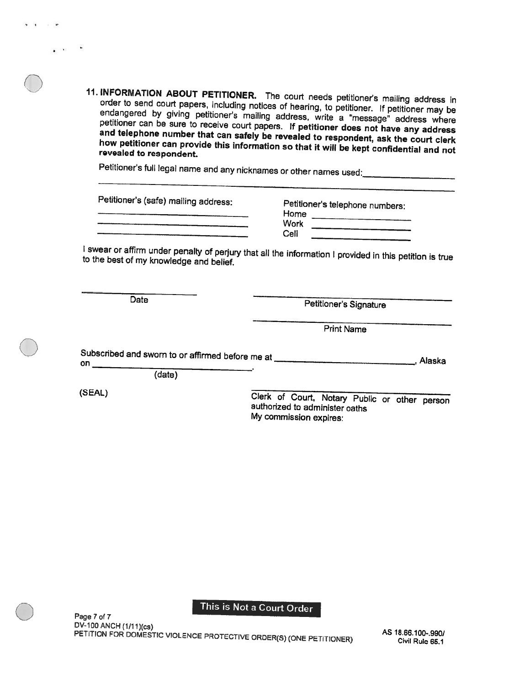11. INFORMATION ABOUT PETITIONER. The court needs petitioner's mailing address in order to send court papers, including notices of hearing, to petitioner. If petitioner may be endangered by giving petitioner's mailing address, write a "message" address where petitioner can be sure to receive court papers. If petitioner does not have any address<br>and telephone number that can safely be revealed to respondent, ask the court clerk<br>how petitioner can provide this information so tha court needs petitioner's mailing<br>
if hearing, to petitioner. If petition<br>
idress, write a "message" addre<br>
If petitioner does not have any<br>
vealed to respondent, ask the c<br>
so that it will be kept confidentia<br>
or other nam

Petitioner's full legal name and any nicknames or other names used:

| Petitioner's (safe) mailing address: | Petitioner's telephone numbers: |
|--------------------------------------|---------------------------------|
|                                      | Home                            |
|                                      | Work                            |
|                                      | Cell                            |
|                                      |                                 |

to the best of my knowledge and belief. I swear or affirm under penalty of perjury that all the information I provided in this petition is true

Date Petitioner's Signature

Print Name

Subscribed and sworn to or affirmed before me at \_\_\_\_\_\_\_\_\_\_\_\_\_\_\_\_\_\_\_\_\_\_\_\_\_\_\_\_\_\_\_\_. Alaska on  $\qquad$ (date)

 $\bigcirc$ 

(SEAL) Clerk of Court, Notary Public or other person authorized to administer oaths My commission expires:

#### This is Not <sup>a</sup> Court Order

Page 7 of 7<br>DV-100 ANCH (1/11)(cs) DV-100 ANCH (1/1 1)(cs) PETITiON FOR DOMESTIC AS 18.66.100-,9901 VIOLENCE PROTECTIVE ORDER(S) (ONE PETITIONER) Civil Rule 65.1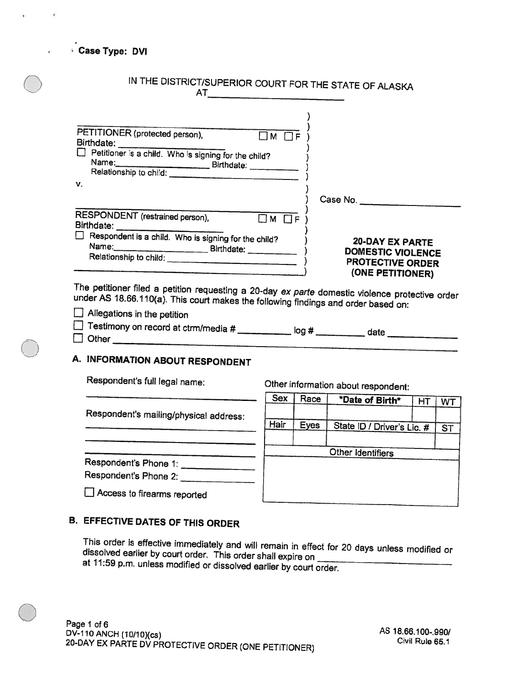Case Type: DVI

| IN THE DISTRICT/SUPERIOR COURT FOR THE STATE OF ALASKA                                                                                                                                |                                                                                                   |
|---------------------------------------------------------------------------------------------------------------------------------------------------------------------------------------|---------------------------------------------------------------------------------------------------|
| PETITIONER (protected person),<br>$\Box M$ $\Box F$<br>Birthdate: $\Box$ Petitioner is a child. Who is signing for the child?                                                         |                                                                                                   |
| ν.                                                                                                                                                                                    |                                                                                                   |
| RESPONDENT (restrained person),<br>$\Box$ M $\Box$ f                                                                                                                                  |                                                                                                   |
| $\Box$ Respondent is a child. Who is signing for the child?                                                                                                                           | <b>20-DAY EX PARTE</b><br><b>DOMESTIC VIOLENCE</b><br><b>PROTECTIVE ORDER</b><br>(ONE PETITIONER) |
| The petitioner filed a petition requesting a 20-day ex parte domestic violence protective order<br>under AS 18.66.110(a). This court makes the following findings and order based on: |                                                                                                   |

 $\Box$  Allegations in the petition □ Testimony on record at ctrm/media # \_\_\_\_\_\_\_\_\_\_\_ log # \_\_\_\_\_\_\_\_\_\_ date  $\Box$  Other

# A. INFORMATION ABOUT RESPONDENT

Respondent's full legal name:

Other information about respondent:

Respondent's mailing/physical address:

Respondent's Phone 1: \_\_\_\_\_\_\_\_\_\_\_\_\_\_\_ Respondent's Phone 2: \_\_\_\_\_\_\_\_\_\_\_\_\_

Hair Eyes Other Identifiers State ID / Driver's Lic. # ST

Sex Race | \*Date of Birth\* | HT | WT

# B. EFFECTIVE DATES OF THIS ORDER

Access to firearms reported

 $\bigcirc$ 

This order is effective immediately and will remain in effect for 20 days unless modified or<br>dissolved earlier by court order. This order shall expire on \_\_\_\_\_\_\_\_\_\_\_\_\_\_\_\_\_\_ at 11:59 p.m. unless modified or dissolved earlier by court order.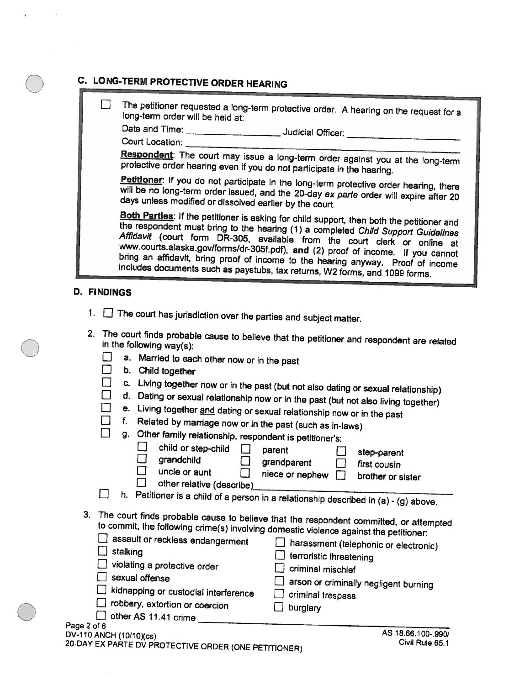# C. LONG-TERM PROTECTIVE ORDER HEARING

U The petitioner requested a long-term protective order. A hearing on the request for a<br>long-term order will be held at:

Date and Time: Judicial Officer:

Court Location:

Respondent: The court may issue a long-term order against you at the long-term protective order hearing even if you do not participate in the hearing.<br>Petitioner: If you do not participate in the long-term protective order

will be no long-term order issued, and the 20-day ex parte order will expire after 20 days unless modified or dissolved earlier by the court.<br>Both Parties: If the petitioner is asking for child support, then both the petit

the respondent must bring to the hearing (1) a completed Child Support Guidelines www.courts.alaska.gov/forms/dr-305f.pdf), and (2) proof of income. If you cannot Affidavit (court form DR-305, available from the court clerk or online at bring an affidavit, bring proof of income to the hearing anyway. Proof of income includes documents such as paystubs, tax returns, W2 forms, and 1099 forms.

#### D. FINDINGS

- 1.  $\Box$  The court has jurisdiction over the parties and subject matter.
- 2. The court finds probable cause to believe that the petitioner and respondent are related in the following way(s):
	- $\Box$  a. Married to each other now or in the past  $\Box$  b. Child together
	-
	-
	- □ c. Living together now or in the past (but not also dating or sexual relationship)<br>□ d. Dating or sexual relationship now or in the past (but not also living together)<br>□ e. Living together <u>and</u> dating or sexual relatio
	-
	-

|  |  | J g. Other family relationship, respondent is petitioner's |  |
|--|--|------------------------------------------------------------|--|
|  |  |                                                            |  |

| child or step-child<br>parent<br>grandchild<br>grandparent<br>uncle or aunt<br>niece or nephew<br>other relative (describe)<br>h.<br>Petitioner is a child of a person in a relationship described in (a) - (g) above.                                                                                                                                                                                                                      | step-parent<br>first cousin<br>brother or sister                                                          |
|---------------------------------------------------------------------------------------------------------------------------------------------------------------------------------------------------------------------------------------------------------------------------------------------------------------------------------------------------------------------------------------------------------------------------------------------|-----------------------------------------------------------------------------------------------------------|
| 3. The court finds probable cause to believe that the respondent committed, or attempted<br>to commit, the following crime(s) involving domestic violence against the petitioner:<br>assault or reckless endangerment<br>stalking<br>violating a protective order<br>criminal mischief<br>sexual offense<br>kidnapping or custodial interference<br>criminal trespass<br>robbery, extortion or coercion<br>burglary<br>other AS 11.41 crime | harassment (telephonic or electronic)<br>terroristic threatening<br>arson or criminally negligent burning |
| Page 2 of 6<br>DV-110 ANCH (10/10)(cs)<br>20-DAY EX PARTE DV PROTECTIVE ORDER (ONE PETITIONER)                                                                                                                                                                                                                                                                                                                                              | AS 18.66.100-.990/<br>Civil Rule 65.1                                                                     |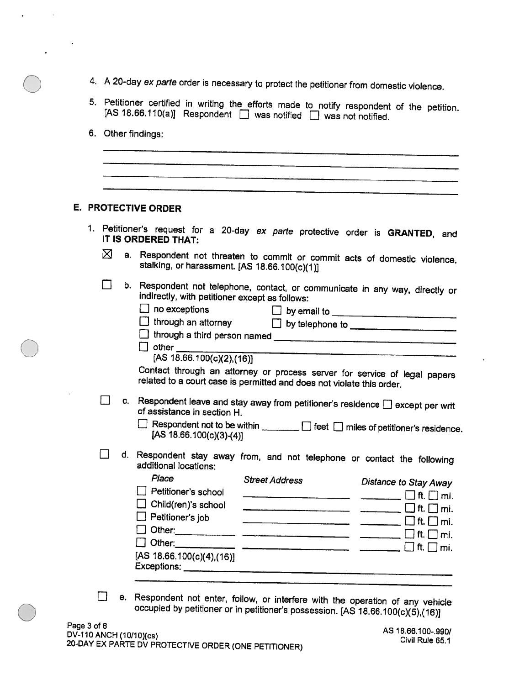- 4. A 20-day ex parte order is necessary to protect the petitioner from domestic violence.
- 5. Petitioner certified in writing the efforts made to notify respondent of the petition.<br>[AS 18.66.110(a)] Respondent  $\Box$  was notified  $\Box$  was not notified.
- 6. Other findings;

s,

|  |   |    |                                                                                                                                          | 4. A 20-day ex parte order is necessary to protect the petitioner from domestic violence.                                                                                                                                          |                                                                                                                           |
|--|---|----|------------------------------------------------------------------------------------------------------------------------------------------|------------------------------------------------------------------------------------------------------------------------------------------------------------------------------------------------------------------------------------|---------------------------------------------------------------------------------------------------------------------------|
|  |   |    |                                                                                                                                          | 5. Petitioner certified in writing the efforts made to notify respondent of the petition.<br>[AS 18.66.110(a)] Respondent $\Box$ was notified $\Box$ was not notified.                                                             |                                                                                                                           |
|  |   |    | 6. Other findings:                                                                                                                       |                                                                                                                                                                                                                                    |                                                                                                                           |
|  |   |    |                                                                                                                                          |                                                                                                                                                                                                                                    |                                                                                                                           |
|  |   |    |                                                                                                                                          |                                                                                                                                                                                                                                    |                                                                                                                           |
|  |   |    | E. PROTECTIVE ORDER                                                                                                                      |                                                                                                                                                                                                                                    |                                                                                                                           |
|  |   |    | IT IS ORDERED THAT:                                                                                                                      | 1. Petitioner's request for a 20-day ex parte protective order is GRANTED, and                                                                                                                                                     |                                                                                                                           |
|  | ⊠ |    | stalking, or harassment. [AS 18.66.100(c)(1)]                                                                                            | a. Respondent not threaten to commit or commit acts of domestic violence,                                                                                                                                                          |                                                                                                                           |
|  |   |    | indirectly, with petitioner except as follows:<br>$\Box$ no exceptions<br>$\Box$ other $\_\_\_\_\_\_\_\_\$<br>[AS 18.66.100(c)(2), (16)] | b. Respondent not telephone, contact, or communicate in any way, directly or<br>Contact through an attorney or process server for service of legal papers<br>related to a court case is permitted and does not violate this order. |                                                                                                                           |
|  |   | C. | of assistance in section H.<br>[AS $18.66.100(c)(3)-(4)$ ]                                                                               | Respondent leave and stay away from petitioner's residence $\Box$ except per writ<br>Respondent not to be within <b>manually about 1</b> feet <b>notify</b> miles of petitioner's residence                                        |                                                                                                                           |
|  |   | d. | additional locations:                                                                                                                    | Respondent stay away from, and not telephone or contact the following                                                                                                                                                              |                                                                                                                           |
|  |   |    | Place<br>Petitioner's school<br>$\Box$ Child(ren)'s school<br>Petitioner's job<br>[AS 18.66.100(c)(4),(16)]                              | <b>Street Address</b>                                                                                                                                                                                                              | <b>Distance to Stay Away</b><br>ft. $\Box$ mi.<br>$\Box$ ft. $\Box$ mi.<br>$\Box$ ft. $\Box$ mi.<br>$\Box$ ft. $\Box$ mi. |
|  |   |    |                                                                                                                                          | e. Respondent not enter, follow or interfere with the operation of any variable                                                                                                                                                    |                                                                                                                           |

E. Respondent not enter, tollow, or intertere with the operation of any vehicle<br>occupied by petitioner or in petitioner's possession. [AS 18.66.100(c)(5),(16)]<br>Page 3 of 6<br>DV-110 ANCH (10/10)(cs)<br>20-DAY EX PARTE DV PROTEC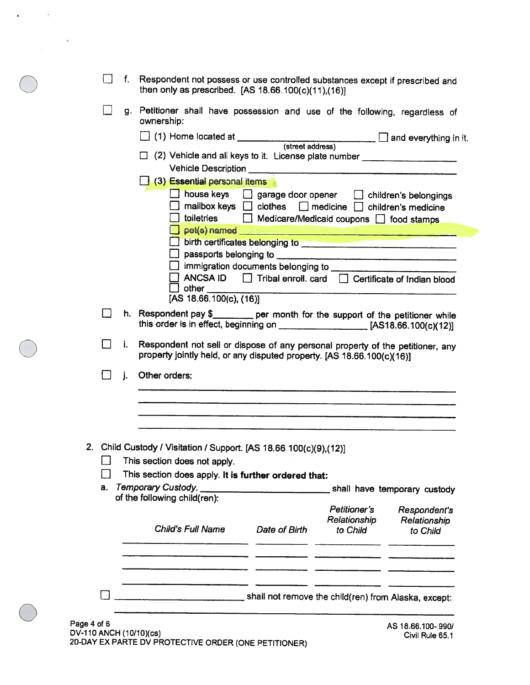|                                        |     | f. | Respondent not possess or use controlled substances except if prescribed and<br>then only as prescribed. [AS $18.66.100(c)(11),(16)$ ]                                                                                               |
|----------------------------------------|-----|----|--------------------------------------------------------------------------------------------------------------------------------------------------------------------------------------------------------------------------------------|
|                                        |     |    | g. Petitioner shall have possession and use of the following, regardless of<br>ownership:                                                                                                                                            |
|                                        |     |    |                                                                                                                                                                                                                                      |
|                                        |     |    | □ (2) Vehicle and all keys to it. License plate number _________________________                                                                                                                                                     |
|                                        |     |    |                                                                                                                                                                                                                                      |
|                                        |     |    | (3) Essential personal items                                                                                                                                                                                                         |
|                                        |     |    | house keys   garage door opener   children's belongings                                                                                                                                                                              |
|                                        |     |    | mailbox keys $\Box$ clothes $\Box$ medicine $\Box$ children's medicine<br>□ toiletries □ Medicare/Medicaid coupons □ food stamps                                                                                                     |
|                                        |     |    | pet(s) named                                                                                                                                                                                                                         |
|                                        |     |    | birth certificates belonging to <b>contain the contract of the contract of the contract of the contract of the contract of the contract of the contract of the contract of the contract of the contract of the contract of the c</b> |
|                                        |     |    |                                                                                                                                                                                                                                      |
|                                        |     |    |                                                                                                                                                                                                                                      |
|                                        |     |    | ANCSA ID   Tribal enroll. card   Certificate of Indian blood<br>other                                                                                                                                                                |
|                                        |     |    | [AS 18.66.100(c), (16)]                                                                                                                                                                                                              |
|                                        | l 1 |    | h. Respondent pay \$________ per month for the support of the petitioner while<br>this order is in effect, beginning on $\sqrt{2}$ [AS18.66.100(c)(12)]                                                                              |
|                                        |     | i. | Respondent not sell or dispose of any personal property of the petitioner, any<br>property jointly held, or any disputed property. [AS 18.66.100(c)(16)]                                                                             |
|                                        |     | j. | Other orders:                                                                                                                                                                                                                        |
|                                        |     |    |                                                                                                                                                                                                                                      |
|                                        |     |    |                                                                                                                                                                                                                                      |
|                                        |     |    | 2. Child Custody / Visitation / Support. [AS 18.66.100(c)(9),(12)]                                                                                                                                                                   |
|                                        |     |    | $\Box$ This section does not apply.                                                                                                                                                                                                  |
|                                        |     |    | This section does apply. It is further ordered that:                                                                                                                                                                                 |
|                                        | а.  |    | <b>Temporary Custody.</b><br>shall have temporary custody<br>of the following child(ren):                                                                                                                                            |
|                                        |     |    | Petitioner's<br>Respondent's                                                                                                                                                                                                         |
|                                        |     |    | Relationship<br>Relationship                                                                                                                                                                                                         |
|                                        |     |    | <b>Child's Full Name</b><br>Date of Birth<br>to Child<br>to Child                                                                                                                                                                    |
|                                        |     |    |                                                                                                                                                                                                                                      |
|                                        |     |    |                                                                                                                                                                                                                                      |
|                                        |     |    | shall not remove the child(ren) from Alaska, except:                                                                                                                                                                                 |
| Page 4 of 6<br>DV-110 ANCH (10/10)(cs) |     |    | AS 18.66.100-990/<br>Civil Rule 65.1                                                                                                                                                                                                 |

20-DAY EX PARTE DV PROTECTIVE ORDER (ONE PETITIONER)

 $\overline{\mathbf{S}}$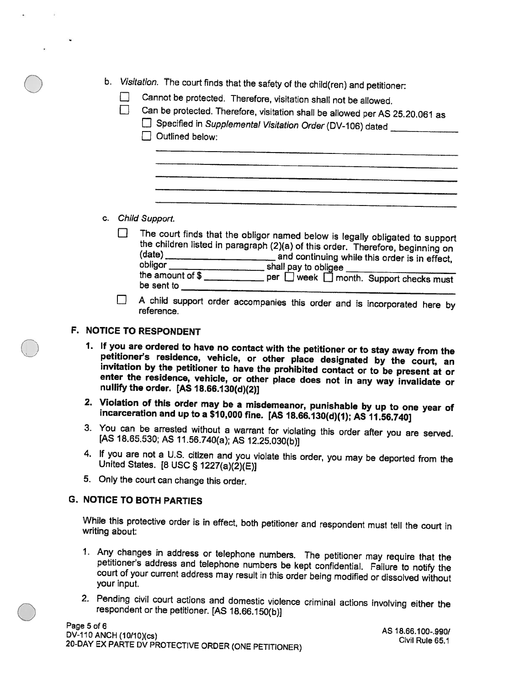- b. Visitation. The court finds that the safety of the child(ren) and petitioner:
	- Cannot be protected. Therefore, visitation shall not be allowed.
	- Can be protected. Therefore, visitation shall be allowed per AS 25.20.061 as
		- E Specified in Supplemental Visitation Order (DV-106) dated **C** Outlined below:

#### c. Child Support.

- The court finds that the obligor named below is legally obligated to support the children listed in paragraph  $(2)(a)$  of this order. Therefore, beginning on П (date) \_\_\_\_\_\_\_\_\_\_\_\_\_\_\_\_\_\_\_\_\_\_\_\_ and continuing while this order is in effect,<br>obligor \_\_\_\_\_\_\_\_\_\_\_\_\_\_\_\_\_\_\_\_\_\_\_shall pay to obligee \_\_\_\_\_\_\_\_\_\_\_\_\_\_\_\_\_\_\_\_\_\_\_\_\_\_\_\_ the amount of \$ \_\_\_\_\_\_\_\_\_\_\_\_\_\_ per  $\square$  week  $\square$  month. Support checks must be sent to
- <sup>A</sup> child support order accompanies this order and is incorporated here by reference.  $\Box$

#### F. NOTICE TO RESPONDENT

- 1. If you are ordered to have no contact with the petitioner or to stay away from the petitioner's residence, vehicle, or other place designated by the court, an invitation by the petitioner to have the prohibited contact
- 2. Violation of this order may be <sup>a</sup> misdemeanor, punishable by up to one year of incarceration and up to <sup>a</sup> \$10,000 fine. [AS 18.66.130(d)(1); AS 11.56.740]
- 3. You can be arrested without <sup>a</sup> warrant for violating this order after you are served. [AS 18.65.530; AS 11.56.740(a); AS 12.25.030(b)]
- 4. If you are not <sup>a</sup> U.S. citizen and you violate this order, you may be deported from the United States. [8 USC § 1227(a)(2)(E)]
- 5. Only the court can change this order.

#### G. NOTICE TO BOTH PARTIES

While this protective order is in effect, both petitioner and respondent must tell the court in writing about:

- 1. Any changes in address or telephone numbers. The petitioner may require that the petitioner's address and telephone numbers be kept confidential. Failure to notify the court of your current address may result in this or your input.
- 2. Pending civil court actions and domestic violence criminal actions involving either the<br>respondent or the petitioner. [AS 18.66.150(b)]<br>Page 5 of 6<br>DV-110 ANCH (10/10)(cs)<br>20-DAY EX PARTE DV PROTECTIVE ORDER (ONE PETITI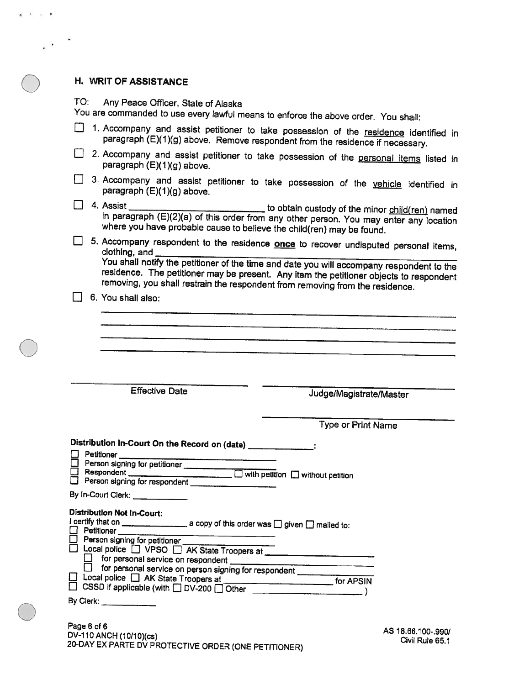# H. WRIT OF ASSISTANCE

 $\mathbf{a} = \mathbf{0} - \mathbf{c} = \mathbf{0}$ 

 $\mathcal{L}^{\pm}$ 

TO: Any Peace Officer, State of Alaska

|  | You are commanded to use every lawful means to enforce the above order. You shall:                                                                                                            |                                                                                                                                                                                                                                                                             |
|--|-----------------------------------------------------------------------------------------------------------------------------------------------------------------------------------------------|-----------------------------------------------------------------------------------------------------------------------------------------------------------------------------------------------------------------------------------------------------------------------------|
|  |                                                                                                                                                                                               | 1. Accompany and assist petitioner to take possession of the residence identified in<br>paragraph (E)(1)(g) above. Remove respondent from the residence if necessary.                                                                                                       |
|  | paragraph (E)(1)(g) above.                                                                                                                                                                    | 2. Accompany and assist petitioner to take possession of the personal items listed in                                                                                                                                                                                       |
|  | paragraph (E)(1)(g) above.                                                                                                                                                                    | 3. Accompany and assist petitioner to take possession of the vehicle identified in                                                                                                                                                                                          |
|  | where you have probable cause to believe the child(ren) may be found.                                                                                                                         | 4. Assist _________________________________ to obtain custody of the minor child(ren) named<br>in paragraph (E)(2)(a) of this order from any other person. You may enter any location                                                                                       |
|  | clothing, and                                                                                                                                                                                 | 5. Accompany respondent to the residence once to recover undisputed personal items,<br>You shall notify the petitioner of the time and date you will accompany respondent to the<br>residence. The petitioner may be present. Any item the petitioner objects to respondent |
|  | removing, you shall restrain the respondent from removing from the residence.<br>6. You shall also:                                                                                           |                                                                                                                                                                                                                                                                             |
|  |                                                                                                                                                                                               |                                                                                                                                                                                                                                                                             |
|  |                                                                                                                                                                                               |                                                                                                                                                                                                                                                                             |
|  |                                                                                                                                                                                               |                                                                                                                                                                                                                                                                             |
|  |                                                                                                                                                                                               |                                                                                                                                                                                                                                                                             |
|  |                                                                                                                                                                                               |                                                                                                                                                                                                                                                                             |
|  | <b>Effective Date</b>                                                                                                                                                                         | Judge/Magistrate/Master                                                                                                                                                                                                                                                     |
|  |                                                                                                                                                                                               |                                                                                                                                                                                                                                                                             |
|  |                                                                                                                                                                                               | Type or Print Name                                                                                                                                                                                                                                                          |
|  |                                                                                                                                                                                               |                                                                                                                                                                                                                                                                             |
|  |                                                                                                                                                                                               |                                                                                                                                                                                                                                                                             |
|  | Distribution In-Court On the Record on (date) ______________:<br>Petitioner                                                                                                                   |                                                                                                                                                                                                                                                                             |
|  |                                                                                                                                                                                               |                                                                                                                                                                                                                                                                             |
|  | Detitioner<br>Derson signing for petitioner<br>Bespondent<br>Derson signing for respondent<br>Derson signing for respondent<br>Derson signing for respondent<br>Derson signing for respondent |                                                                                                                                                                                                                                                                             |
|  | By In-Court Clerk:                                                                                                                                                                            |                                                                                                                                                                                                                                                                             |
|  | <b>Distribution Not In-Court:</b>                                                                                                                                                             |                                                                                                                                                                                                                                                                             |
|  | $\Box$ Petitioner _____                                                                                                                                                                       |                                                                                                                                                                                                                                                                             |
|  | Person signing for petitioner <b>contains</b>                                                                                                                                                 |                                                                                                                                                                                                                                                                             |
|  | □ Local police □ VPSO □ AK State Troopers at __________________________________                                                                                                               |                                                                                                                                                                                                                                                                             |
|  | for personal service on respondent ___________<br>for personal service on person signing for respondent __________                                                                            |                                                                                                                                                                                                                                                                             |
|  |                                                                                                                                                                                               |                                                                                                                                                                                                                                                                             |
|  | By Clerk:                                                                                                                                                                                     |                                                                                                                                                                                                                                                                             |
|  | Page 6 of 6                                                                                                                                                                                   |                                                                                                                                                                                                                                                                             |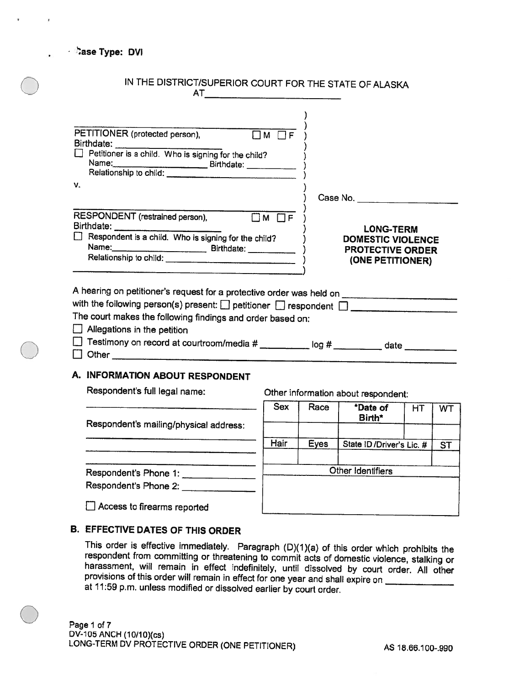| · Dase Type: DVI                                                                                                                                                                     |                                                                                             |
|--------------------------------------------------------------------------------------------------------------------------------------------------------------------------------------|---------------------------------------------------------------------------------------------|
| IN THE DISTRICT/SUPERIOR COURT FOR THE STATE OF ALASKA                                                                                                                               |                                                                                             |
| PETITIONER (protected person),<br>Petitioner is a child. Who is signing for the child?<br>٧.                                                                                         |                                                                                             |
|                                                                                                                                                                                      | Case No.                                                                                    |
| RESPONDENT (restrained person),<br>$TM$ $\Box F$<br>$\Box$ Respondent is a child. Who is signing for the child?<br>Name: 1                                                           | <b>LONG-TERM</b><br><b>DOMESTIC VIOLENCE</b><br><b>PROTECTIVE ORDER</b><br>(ONE PETITIONER) |
| with the following person(s) present: $\Box$ petitioner $\Box$ respondent $\Box$<br>The court makes the following findings and order based on:<br>$\Box$ Allegations in the petition |                                                                                             |
| A. INFORMATION ABOUT RESPONDENT                                                                                                                                                      |                                                                                             |

Respondent's full legal name: Respondent's mailing/physical address: Respondent's Phone 1: Other information about respondent: Sex Race \*Date of HT WT Birth\* Hair | Eyes | State ID / Driver's Lic. # | ST Other Identifiers Respondent's Phone 2: E] Access to firearms reported

#### B. EFFECTIVE DATES OF THIS ORDER

 $\bigcirc$ 

This order is effective immediately. Paragraph (D)(1)(a) of this order which prohibits the respondent from committing or threatening to commit acts of domestic violence, stalking or harassment, will remain in effect indefi at 11:59 p.m. unless modified or dissolved earlier by court order.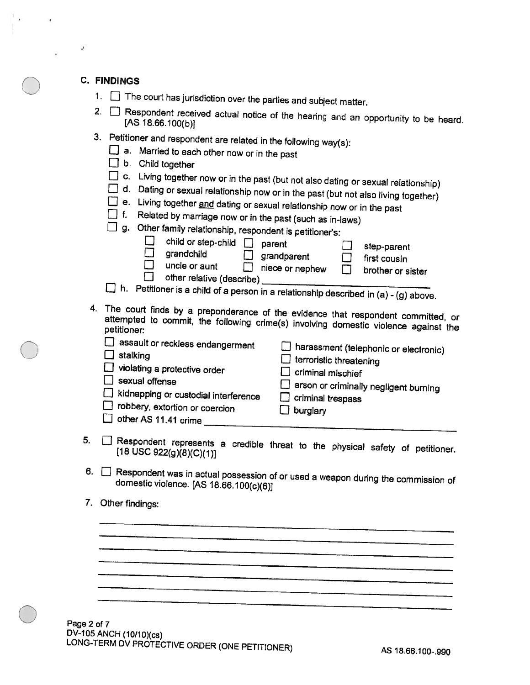#### C. FINDINGS

 $\mathbf{r}$ 

|  |  |  |  | $\therefore$ The court has jurisdiction over the parties and subject matter |  |  |  |  |  |  |
|--|--|--|--|-----------------------------------------------------------------------------|--|--|--|--|--|--|
|--|--|--|--|-----------------------------------------------------------------------------|--|--|--|--|--|--|

|  |  | $\angle$ . $\Box$ Respondent received actual notice of the hearing and an opportunity to be heard<br>[AS 18.66.100(b)] |  |  |  |  |  |  |  |  |  |  |  |
|--|--|------------------------------------------------------------------------------------------------------------------------|--|--|--|--|--|--|--|--|--|--|--|
|--|--|------------------------------------------------------------------------------------------------------------------------|--|--|--|--|--|--|--|--|--|--|--|

3. Petitioner and respondent are related in the following way(s):<br> $\Box$  a. Married to each other name is it.

|  | ∟J a. Married to each other now or in the past |  |  |  |  |
|--|------------------------------------------------|--|--|--|--|
|  |                                                |  |  |  |  |

- b. Child together
- 
- $\square$  c. Living together now or in the past (but not also dating or sexual relationship)<br> $\square$  d. Dating or sexual relationship now or in the past (but not also living together)
- $\Box$  e. Living together and dating or sexual relationship now or in the past
- $\Box$  f. Related by marriage now or in the past (such as in-laws)<br> $\Box$  g. Other family relationship reconnected:  $\Box$

|  |                             | g. Uther family relationship, respondent is petitioner's |
|--|-----------------------------|----------------------------------------------------------|
|  | $\Box$ abilities and $\Box$ |                                                          |

|                         | $\Box$ child or step-child $\Box$ parent |                        |      | $\Box$ step-parent  |
|-------------------------|------------------------------------------|------------------------|------|---------------------|
| $\Box$ grandchild       |                                          | $\Box$ grandparent     |      | $\Box$ first cousin |
| $\Box$<br>uncle or aunt |                                          | $\Box$ niece or nephew | TT - | brother or sister   |
|                         | other relative (describe)                |                        |      |                     |

- $\Box$  h. Petitioner is a child of a person in a relationship described in (a) (g) above.
- 4. The court finds by a preponderance of the evidence that respondent committed, or attempted attempted to commit, the following crime(s) involving domestic violence against the<br>petitioner:

| assault or reckless endangerment<br>stalking<br>$\Box$ violating a protective order<br>sexual offense<br>kidnapping or custodial interference<br>$\Box$ robbery, extortion or coercion<br>$\Box$ other AS 11.41 crime | A harassment (telephonic or electronic)<br>$\Box$ terroristic threatening<br>$\Box$ criminal mischief<br>arson or criminally negligent burning<br>$\Box$ criminal trespass<br>burglary |
|-----------------------------------------------------------------------------------------------------------------------------------------------------------------------------------------------------------------------|----------------------------------------------------------------------------------------------------------------------------------------------------------------------------------------|
|-----------------------------------------------------------------------------------------------------------------------------------------------------------------------------------------------------------------------|----------------------------------------------------------------------------------------------------------------------------------------------------------------------------------------|

- 5.  $\Box$  Respondent represents a credible threat to the physical safety of petitioner.<br>[18 USC 922(g)(8)(C)(1)]
- 6.  $\Box$  Respondent was in actual possession of or used a weapon during the commission of domestic violence. [AS 18.66.100(c)(6)] domestic violence. [AS 18.66.100(c)(6)]
- 7. Other findings:

 $\bigcirc$ 

Page 2 of 7 DV-105 ANCH (10/10)(cs)<br>LONG-TERM DV PROTECTIVE ORDER (ONE PETITIONER) AS 18.66.100-.990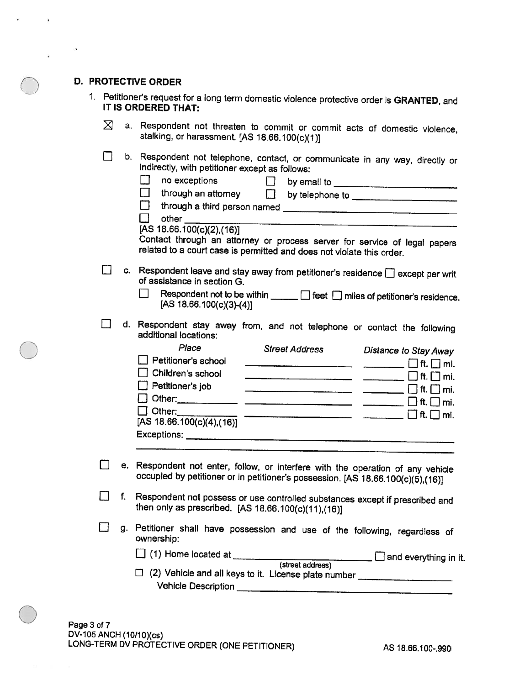#### D. PROTECTIVE ORDER

 $\mathbf{r}$ 

|  | 1. Petitioner's request for a long term domestic violence protective order is GRANTED, and<br>IT IS ORDERED THAT: |
|--|-------------------------------------------------------------------------------------------------------------------|
|--|-------------------------------------------------------------------------------------------------------------------|

- a. Respondent not threaten to commit or commit acts of domestic violence, stalking, or harassment.  $[AS 18.66.100(c)(1)]$  $\boxtimes$
- <sup>E</sup> b. Respondent not telephone, contact, or communicate in any way, directly or indirectly, with petitioner except as follows:

|    | no exceptions<br>$\Box$<br>through an attorney $\qquad \Box$<br>other<br>[AS 18.66.100(c)(2),(16)]<br>Contact through an attorney or process server for service of legal papers<br>related to a court case is permitted and does not violate this order.                                                                                                                                                                                                                                                                                                                                                                                                                                                 |
|----|----------------------------------------------------------------------------------------------------------------------------------------------------------------------------------------------------------------------------------------------------------------------------------------------------------------------------------------------------------------------------------------------------------------------------------------------------------------------------------------------------------------------------------------------------------------------------------------------------------------------------------------------------------------------------------------------------------|
|    | c. Respondent leave and stay away from petitioner's residence $\Box$ except per writ<br>of assistance in section G.<br>Respondent not to be within $\Box$ feet $\Box$ miles of petitioner's residence.<br>[AS 18.66.100(c)(3)-(4)]                                                                                                                                                                                                                                                                                                                                                                                                                                                                       |
|    | d. Respondent stay away from, and not telephone or contact the following<br>additional locations:<br>Place<br><b>Street Address</b><br><b>Distance to Stay Away</b><br>Petitioner's school<br>Children's school<br>Petitioner's job<br>$\Box$ Other:<br>$\overline{\phantom{a}}$ and $\overline{\phantom{a}}$ and $\overline{\phantom{a}}$ and $\overline{\phantom{a}}$ and $\overline{\phantom{a}}$ and $\overline{\phantom{a}}$ and $\overline{\phantom{a}}$ and $\overline{\phantom{a}}$ and $\overline{\phantom{a}}$ and $\overline{\phantom{a}}$ and $\overline{\phantom{a}}$ and $\overline{\phantom{a}}$ and $\overline{\phantom{a}}$ and $\overline{\phantom{a}}$ a<br>[AS 18.66.100(c)(4),(16)] |
|    | e. Respondent not enter, follow, or interfere with the operation of any vehicle<br>occupied by petitioner or in petitioner's possession. [AS 18.66.100(c)(5),(16)]                                                                                                                                                                                                                                                                                                                                                                                                                                                                                                                                       |
| f. | Respondent not possess or use controlled substances except if prescribed and<br>then only as prescribed. [AS 18.66.100(c)(11),(16)]                                                                                                                                                                                                                                                                                                                                                                                                                                                                                                                                                                      |
| g. | Petitioner shall have possession and use of the following, regardless of<br>ownership:<br>[ (1) Home located at ___________<br>street address) and everything in it.<br>□ (2) Vehicle and all keys to it. License plate number ________________________                                                                                                                                                                                                                                                                                                                                                                                                                                                  |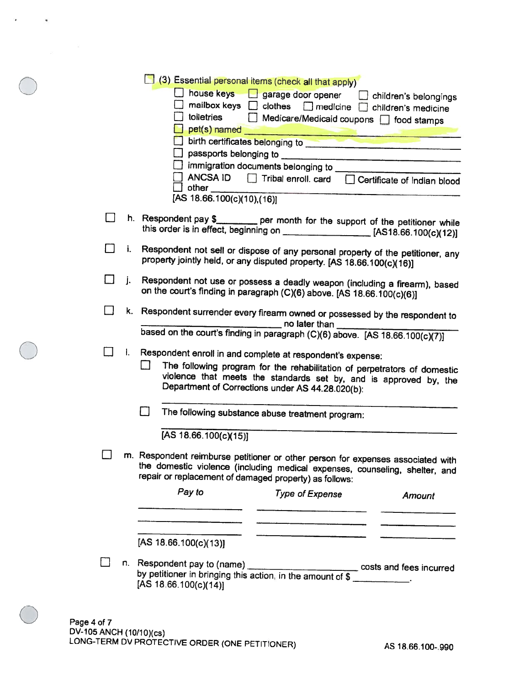| (3) Essential personal items (check all that apply) |  |  |  |  |
|-----------------------------------------------------|--|--|--|--|

|                | (3) Essential personal items (check all that apply)<br>house keys in garage door opener in children's belongings<br>mailbox keys   clothes   medicine   children's medicine<br>toiletries<br>Medicare/Medicaid coupons   food stamps<br>birth certificates belonging to <b>with the control of the control of the control of the control of the control of the control of the control of the control of the control of the control of the control of the control of the </b><br>ANCSA ID   Tribal enroll. card   Certificate of Indian blood<br>$\Box$ other<br>[AS 18.66.100(c)(10),(16)] |
|----------------|--------------------------------------------------------------------------------------------------------------------------------------------------------------------------------------------------------------------------------------------------------------------------------------------------------------------------------------------------------------------------------------------------------------------------------------------------------------------------------------------------------------------------------------------------------------------------------------------|
|                | h. Respondent pay \$___________ per month for the support of the petitioner while<br>this order is in effect, beginning on _________________________ [AS18.66.100(c)(12)]                                                                                                                                                                                                                                                                                                                                                                                                                  |
| i.             | Respondent not sell or dispose of any personal property of the petitioner, any<br>property jointly held, or any disputed property. [AS 18.66.100(c)(16)]                                                                                                                                                                                                                                                                                                                                                                                                                                   |
| 11<br>j.       | Respondent not use or possess a deadly weapon (including a firearm), based<br>on the court's finding in paragraph (C)(6) above. [AS 18.66.100(c)(6)]                                                                                                                                                                                                                                                                                                                                                                                                                                       |
|                | k. Respondent surrender every firearm owned or possessed by the respondent to<br>no later than<br>based on the court's finding in paragraph (C)(6) above. [AS 18.66.100(c)(7)]                                                                                                                                                                                                                                                                                                                                                                                                             |
| $\mathbf{l}$ . | Respondent enroll in and complete at respondent's expense:<br>The following program for the rehabilitation of perpetrators of domestic<br>violence that meets the standards set by, and is approved by, the<br>Department of Corrections under AS 44.28.020(b):                                                                                                                                                                                                                                                                                                                            |
|                | The following substance abuse treatment program:<br>[AS 18.66.100(c)(15)]                                                                                                                                                                                                                                                                                                                                                                                                                                                                                                                  |
|                | m. Respondent reimburse petitioner or other person for expenses associated with<br>the domestic violence (including medical expenses, counseling, shelter, and<br>repair or replacement of damaged property) as follows:                                                                                                                                                                                                                                                                                                                                                                   |
|                | Pay to<br><b>Type of Expense</b><br>Amount                                                                                                                                                                                                                                                                                                                                                                                                                                                                                                                                                 |
|                | [AS 18.66.100(c)(13)]<br>n. Respondent pay to (name) _________________________________ costs and fees incurred<br>by petitioner in bringing this action, in the amount of \$ ___________.<br>[AS $18.66.100(c)(14)$ ]                                                                                                                                                                                                                                                                                                                                                                      |

 $\bigcirc$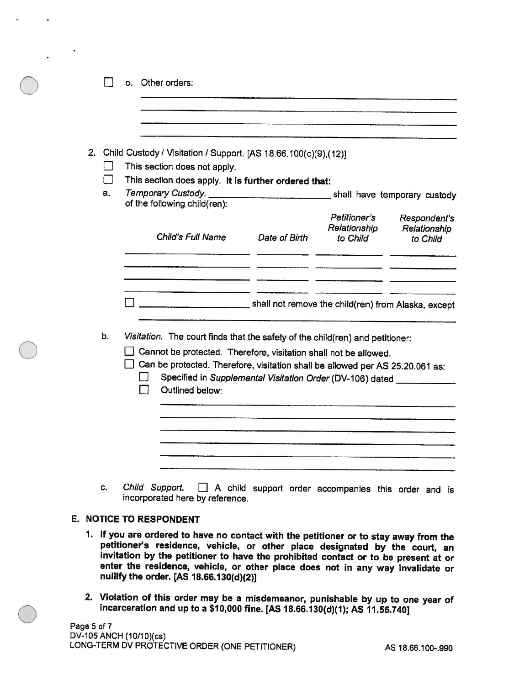|    | 2. Child Custody / Visitation / Support. [AS 18.66.100(c)(9),(12)]<br>This section does not apply.                                                |                                                                        |                                          |                                          |
|----|---------------------------------------------------------------------------------------------------------------------------------------------------|------------------------------------------------------------------------|------------------------------------------|------------------------------------------|
| a. | This section does apply. It is further ordered that:<br>of the following child(ren):                                                              |                                                                        |                                          |                                          |
|    | Child's Full Name                                                                                                                                 | Date of Birth                                                          | Petitioner's<br>Relationship<br>to Child | Respondent's<br>Relationship<br>to Child |
|    |                                                                                                                                                   |                                                                        |                                          |                                          |
|    |                                                                                                                                                   | shall not remove the child(ren) from Alaska, except                    |                                          |                                          |
|    |                                                                                                                                                   |                                                                        |                                          |                                          |
| b. | Visitation. The court finds that the safety of the child(ren) and petitioner:                                                                     |                                                                        |                                          |                                          |
|    | Cannot be protected. Therefore, visitation shall not be allowed.<br>Can be protected. Therefore, visitation shall be allowed per AS 25.20.061 as: |                                                                        |                                          |                                          |
|    | Outlined below:                                                                                                                                   | Specified in Supplemental Visitation Order (DV-106) dated ____________ |                                          |                                          |
|    |                                                                                                                                                   |                                                                        |                                          |                                          |
|    |                                                                                                                                                   |                                                                        |                                          |                                          |

#### E. NOTICE TO RESPONDENT

- 1. If you are ordered to have no contact with the petitioner or to stay away from the petitioner's residence, vehicle, or other place designated by the court, an invitation by the petitioner to have the prohibited contact enter the residence, vehicle, or other place does not in any way invalidate or nullify the order. [AS 18.66.130(d)(2)]
- 2. Violation of this order may be a misdemeanor, punishable by up to one year of incarceration and up to a \$10,000 fine. [AS 18.66.130(d)(1); AS 11.56.740]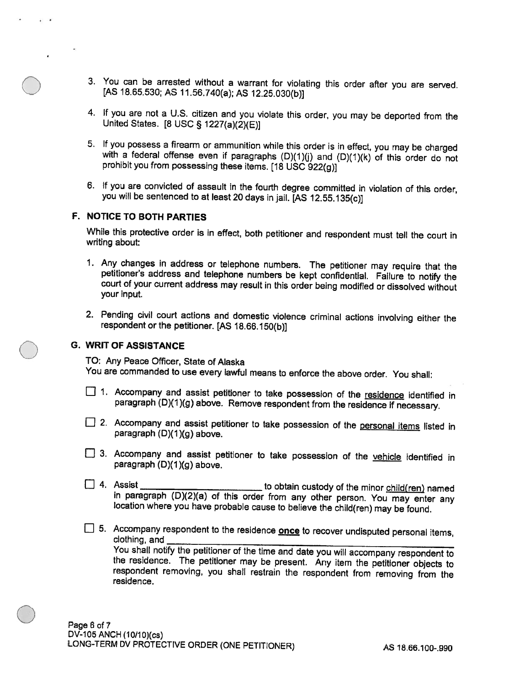- 3. You can be arrested without <sup>a</sup> warrant for violating this order after you are served. [AS 18.65.530; AS 11.56.740(a); AS 12.25.030(b))
- 4. If you are not <sup>a</sup> U.S. citizen and you violate this order, you may be deported from the United States. [8 USC § 1227(a)(2)(E)]
- 5. If you possess a firearm or ammunition while this order is in effect, you may be charged with a federal offense even if paragraphs  $(D)(1)(j)$  and  $(D)(1)(k)$  of this order do not prohibit you from possessing these items. [1
- 6. If you are convicted of assault in the fourth degree committed in violation of this order, you will be sentenced to at least <sup>20</sup> days in jail. [AS 12.55.135(c))

#### F. NOTICE TO BOTH PARTIES

While this protective order is in effect, both petitioner and respondent must tell the court in writing about:

- 1. Any changes in address or telephone numbers. The petitioner may require that the petitioner's address and telephone numbers be kept confidential. Failure to notify the court of your current address may result in this or your input.
- 2. Pending civil court actions and domestic violence criminal actions involving either the respondent or the petitioner. [AS 18.66.150(b))

#### **G. WRIT OF ASSISTANCE**

TO: Any Peace Officer, State of Alaska You are commanded to use every lawful means to enforce the above order. You shall:

- 1. Accompany and assist petitioner to take possession of the residence identified in paragraph (D)(1)(g) above. Remove respondent from the residence if necessary.
- 2. Accompany and assist petitioner to take possession of the personal items listed in paragraph (D)(1)(g) above.
- 3. Accompany and assist petitioner to take possession of the vehicle identified in paragraph (D)(1 )(g) above.
- □ 4. Assist to obtain custody of the minor child(ren) named in paragraph (D)(2)(a) of this order from any other person. You may enter any location where you have probable cause to believe the child(ren) may be found.
- 5. Accompany respondent to the residence once to recover undisputed personal items, clothing, and the residence. The petitioner may be present. Any item the petitioner objects to respondent removing, you shall restrain the respondent from removing from the residence.